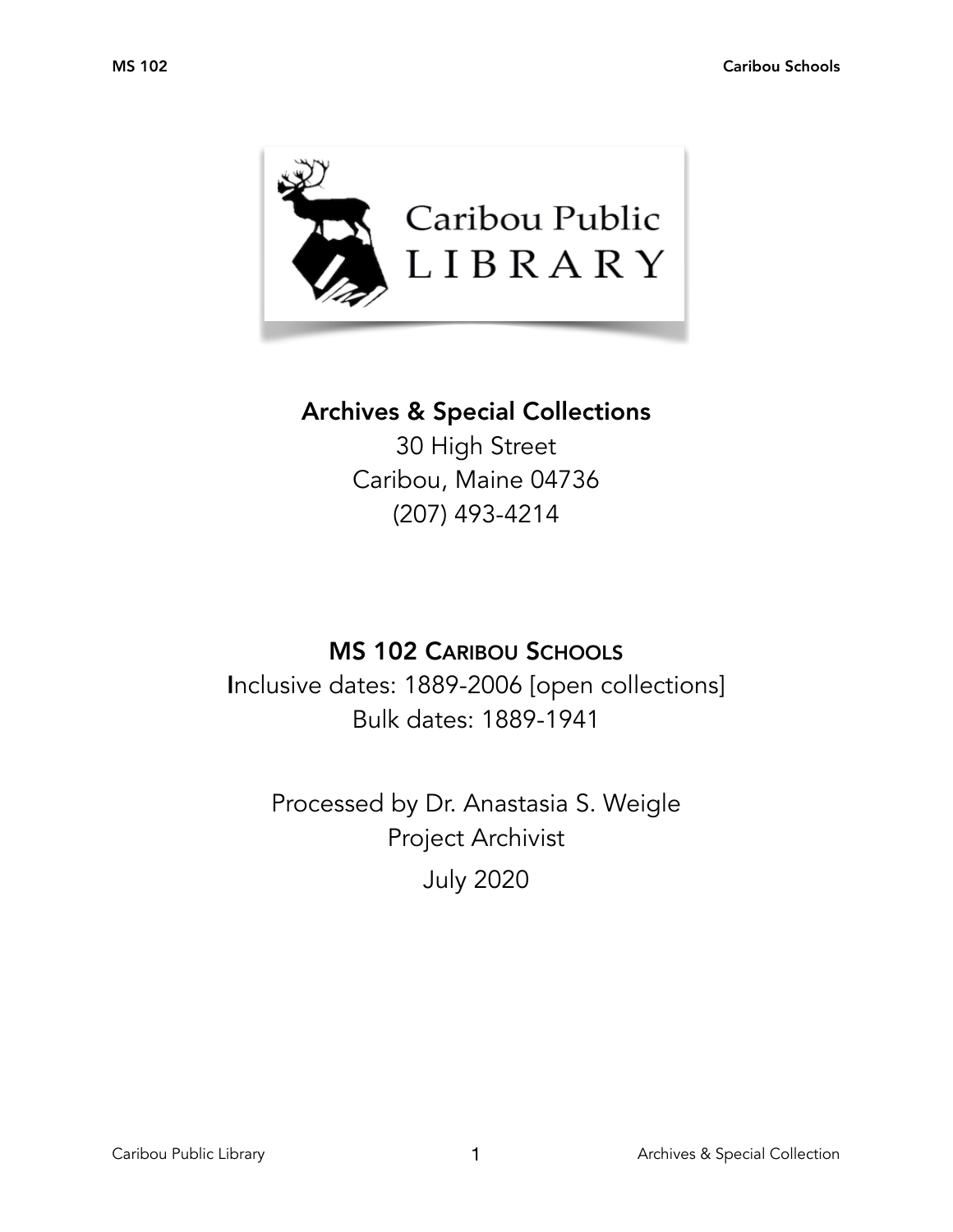

# Archives & Special Collections

30 High Street Caribou, Maine 04736 (207) 493-4214

# MS 102 CARIBOU SCHOOLS

Inclusive dates: 1889-2006 [open collections] Bulk dates: 1889-1941

Processed by Dr. Anastasia S. Weigle Project Archivist July 2020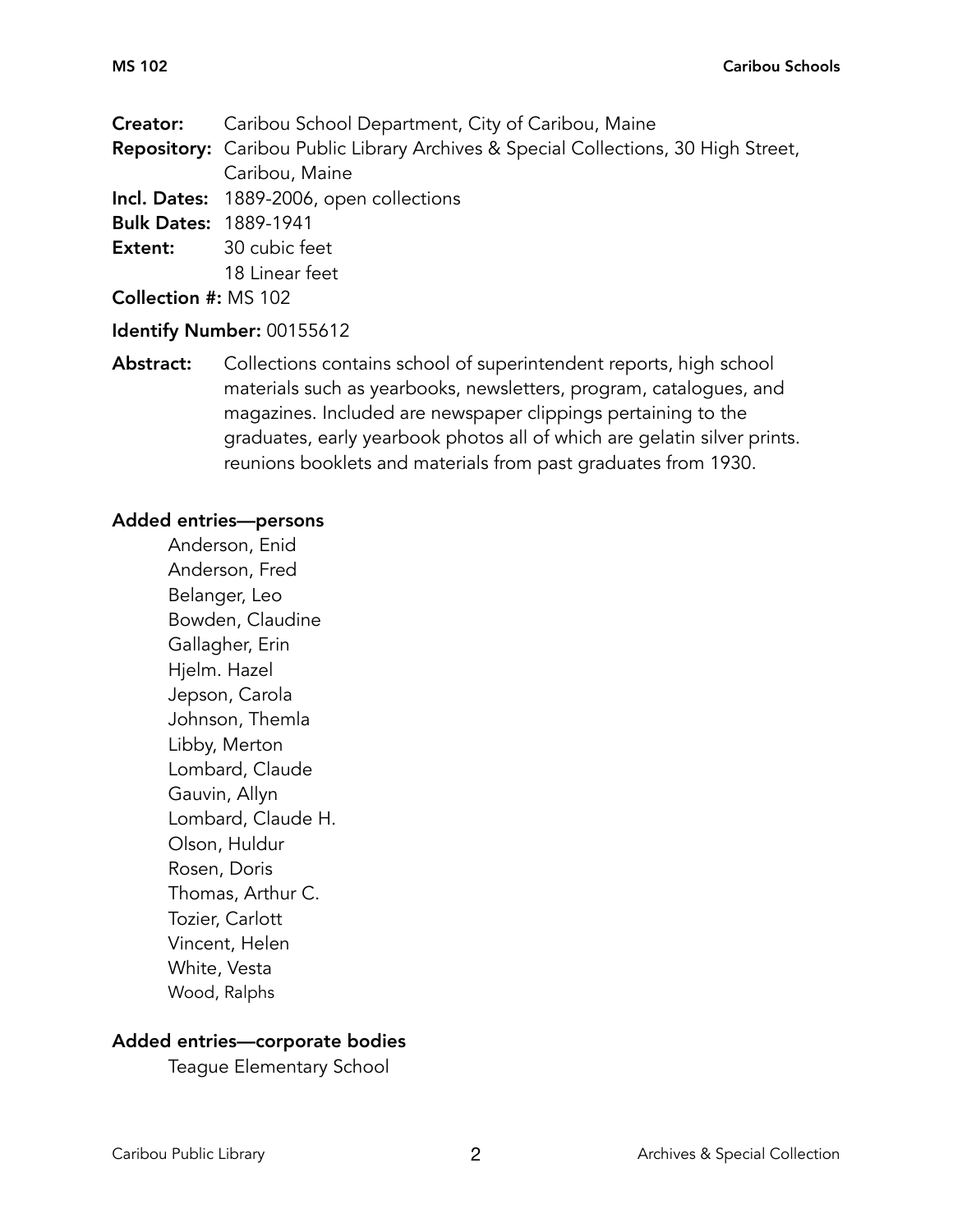**Creator:** Caribou School Department, City of Caribou, Maine

Repository: Caribou Public Library Archives & Special Collections, 30 High Street, Caribou, Maine

Incl. Dates: 1889-2006, open collections

Bulk Dates: 1889-1941

Extent: 30 cubic feet 18 Linear feet

Collection #: MS 102

# Identify Number: 00155612

Abstract: Collections contains school of superintendent reports, high school materials such as yearbooks, newsletters, program, catalogues, and magazines. Included are newspaper clippings pertaining to the graduates, early yearbook photos all of which are gelatin silver prints. reunions booklets and materials from past graduates from 1930.

### Added entries—persons

Anderson, Enid Anderson, Fred Belanger, Leo Bowden, Claudine Gallagher, Erin Hjelm. Hazel Jepson, Carola Johnson, Themla Libby, Merton Lombard, Claude Gauvin, Allyn Lombard, Claude H. Olson, Huldur Rosen, Doris Thomas, Arthur C. Tozier, Carlott Vincent, Helen White, Vesta Wood, Ralphs

# Added entries—corporate bodies

Teague Elementary School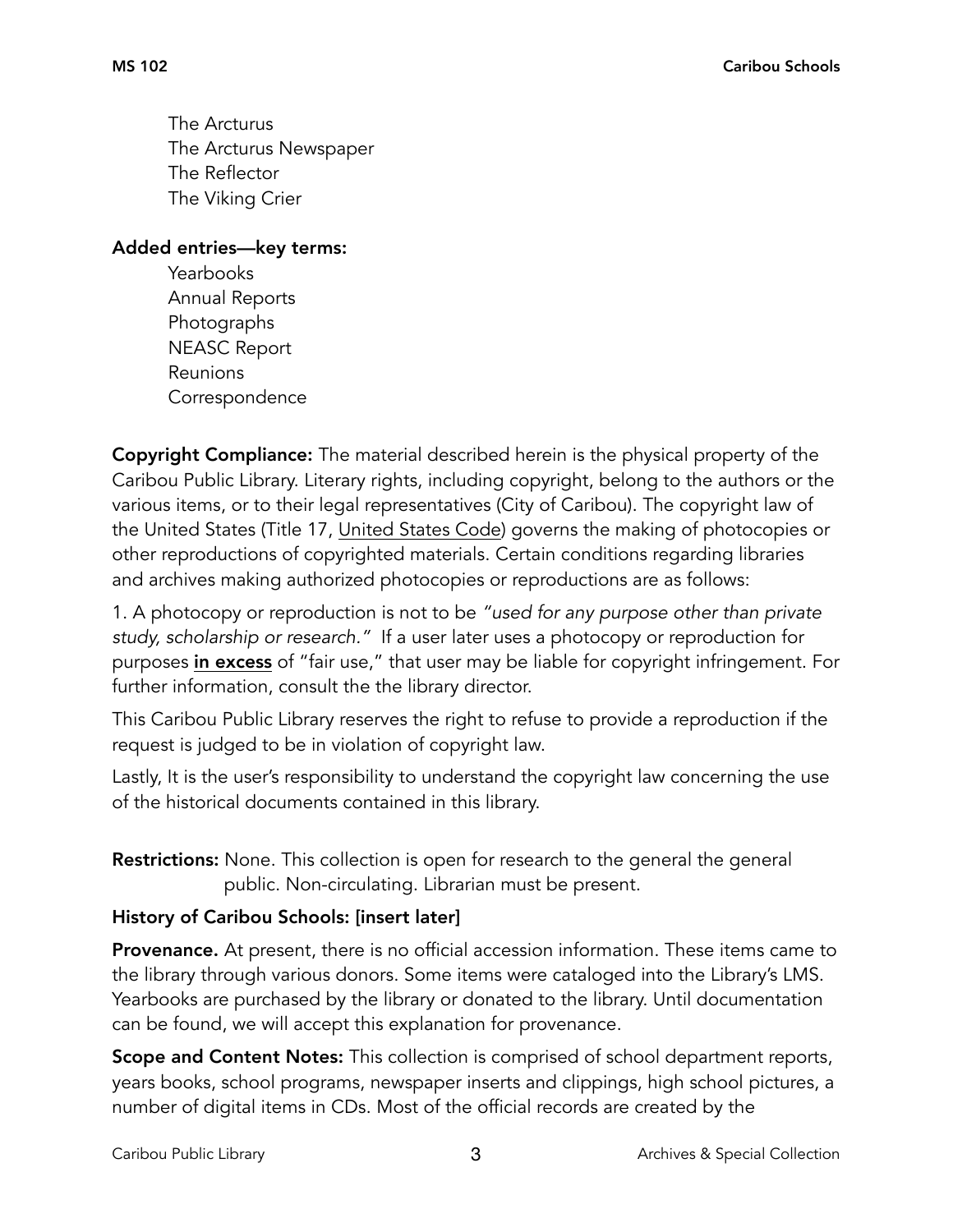The Arcturus The Arcturus Newspaper The Reflector The Viking Crier

Added entries—key terms:

 Yearbooks Annual Reports Photographs NEASC Report Reunions Correspondence

Copyright Compliance: The material described herein is the physical property of the Caribou Public Library. Literary rights, including copyright, belong to the authors or the various items, or to their legal representatives (City of Caribou). The copyright law of the United States (Title 17, United States Code) governs the making of photocopies or other reproductions of copyrighted materials. Certain conditions regarding libraries and archives making authorized photocopies or reproductions are as follows:

1. A photocopy or reproduction is not to be *"used for any purpose other than private study, scholarship or research."* If a user later uses a photocopy or reproduction for purposes in excess of "fair use," that user may be liable for copyright infringement. For further information, consult the the library director.

This Caribou Public Library reserves the right to refuse to provide a reproduction if the request is judged to be in violation of copyright law.

Lastly, It is the user's responsibility to understand the copyright law concerning the use of the historical documents contained in this library.

**Restrictions:** None. This collection is open for research to the general the general public. Non-circulating. Librarian must be present.

# History of Caribou Schools: [insert later]

**Provenance.** At present, there is no official accession information. These items came to the library through various donors. Some items were cataloged into the Library's LMS. Yearbooks are purchased by the library or donated to the library. Until documentation can be found, we will accept this explanation for provenance.

Scope and Content Notes: This collection is comprised of school department reports, years books, school programs, newspaper inserts and clippings, high school pictures, a number of digital items in CDs. Most of the official records are created by the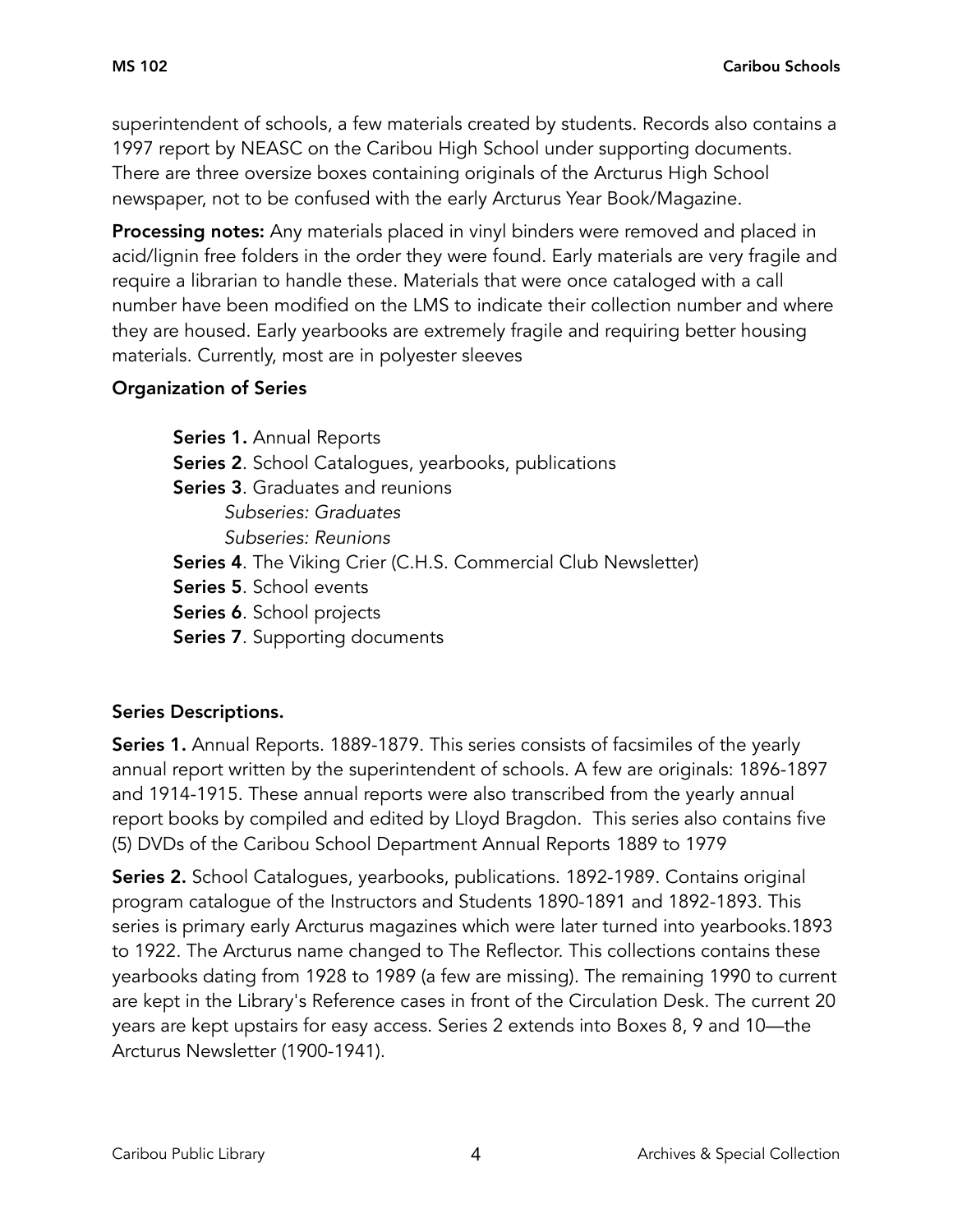superintendent of schools, a few materials created by students. Records also contains a 1997 report by NEASC on the Caribou High School under supporting documents. There are three oversize boxes containing originals of the Arcturus High School newspaper, not to be confused with the early Arcturus Year Book/Magazine.

Processing notes: Any materials placed in vinyl binders were removed and placed in acid/lignin free folders in the order they were found. Early materials are very fragile and require a librarian to handle these. Materials that were once cataloged with a call number have been modified on the LMS to indicate their collection number and where they are housed. Early yearbooks are extremely fragile and requiring better housing materials. Currently, most are in polyester sleeves

### Organization of Series

Series 1. Annual Reports Series 2. School Catalogues, yearbooks, publications Series 3. Graduates and reunions *Subseries: Graduates Subseries: Reunions*  Series 4. The Viking Crier (C.H.S. Commercial Club Newsletter) Series 5. School events Series 6. School projects

Series 7. Supporting documents

# Series Descriptions.

Series 1. Annual Reports. 1889-1879. This series consists of facsimiles of the yearly annual report written by the superintendent of schools. A few are originals: 1896-1897 and 1914-1915. These annual reports were also transcribed from the yearly annual report books by compiled and edited by Lloyd Bragdon. This series also contains five (5) DVDs of the Caribou School Department Annual Reports 1889 to 1979

Series 2. School Catalogues, yearbooks, publications. 1892-1989. Contains original program catalogue of the Instructors and Students 1890-1891 and 1892-1893. This series is primary early Arcturus magazines which were later turned into yearbooks.1893 to 1922. The Arcturus name changed to The Reflector. This collections contains these yearbooks dating from 1928 to 1989 (a few are missing). The remaining 1990 to current are kept in the Library's Reference cases in front of the Circulation Desk. The current 20 years are kept upstairs for easy access. Series 2 extends into Boxes 8, 9 and 10—the Arcturus Newsletter (1900-1941).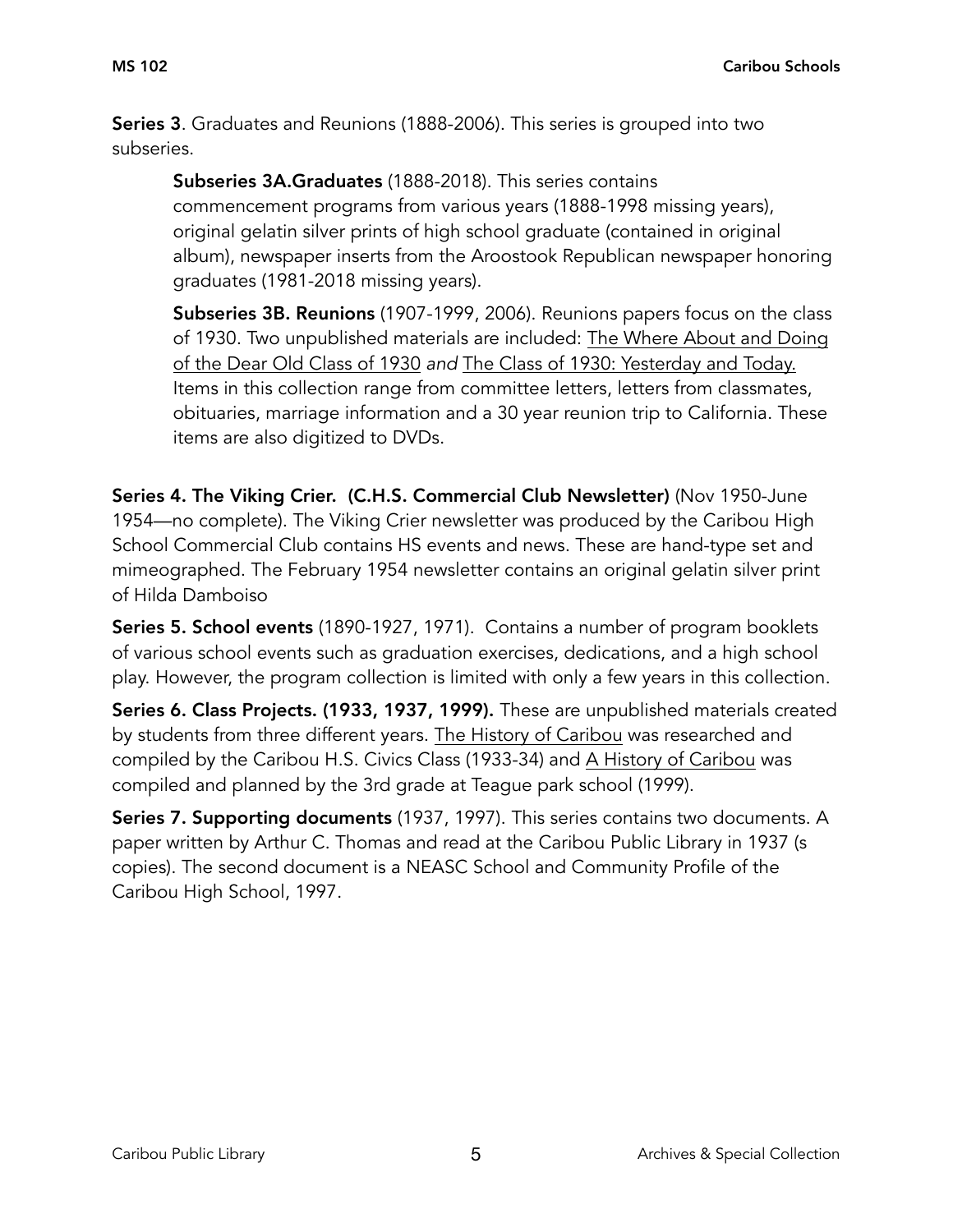Series 3. Graduates and Reunions (1888-2006). This series is grouped into two subseries.

Subseries 3A.Graduates (1888-2018). This series contains commencement programs from various years (1888-1998 missing years), original gelatin silver prints of high school graduate (contained in original album), newspaper inserts from the Aroostook Republican newspaper honoring graduates (1981-2018 missing years).

Subseries 3B. Reunions (1907-1999, 2006). Reunions papers focus on the class of 1930. Two unpublished materials are included: The Where About and Doing of the Dear Old Class of 1930 *and* The Class of 1930: Yesterday and Today. Items in this collection range from committee letters, letters from classmates, obituaries, marriage information and a 30 year reunion trip to California. These items are also digitized to DVDs.

Series 4. The Viking Crier. (C.H.S. Commercial Club Newsletter) (Nov 1950-June 1954—no complete). The Viking Crier newsletter was produced by the Caribou High School Commercial Club contains HS events and news. These are hand-type set and mimeographed. The February 1954 newsletter contains an original gelatin silver print of Hilda Damboiso

Series 5. School events (1890-1927, 1971). Contains a number of program booklets of various school events such as graduation exercises, dedications, and a high school play. However, the program collection is limited with only a few years in this collection.

Series 6. Class Projects. (1933, 1937, 1999). These are unpublished materials created by students from three different years. The History of Caribou was researched and compiled by the Caribou H.S. Civics Class (1933-34) and A History of Caribou was compiled and planned by the 3rd grade at Teague park school (1999).

Series 7. Supporting documents (1937, 1997). This series contains two documents. A paper written by Arthur C. Thomas and read at the Caribou Public Library in 1937 (s copies). The second document is a NEASC School and Community Profile of the Caribou High School, 1997.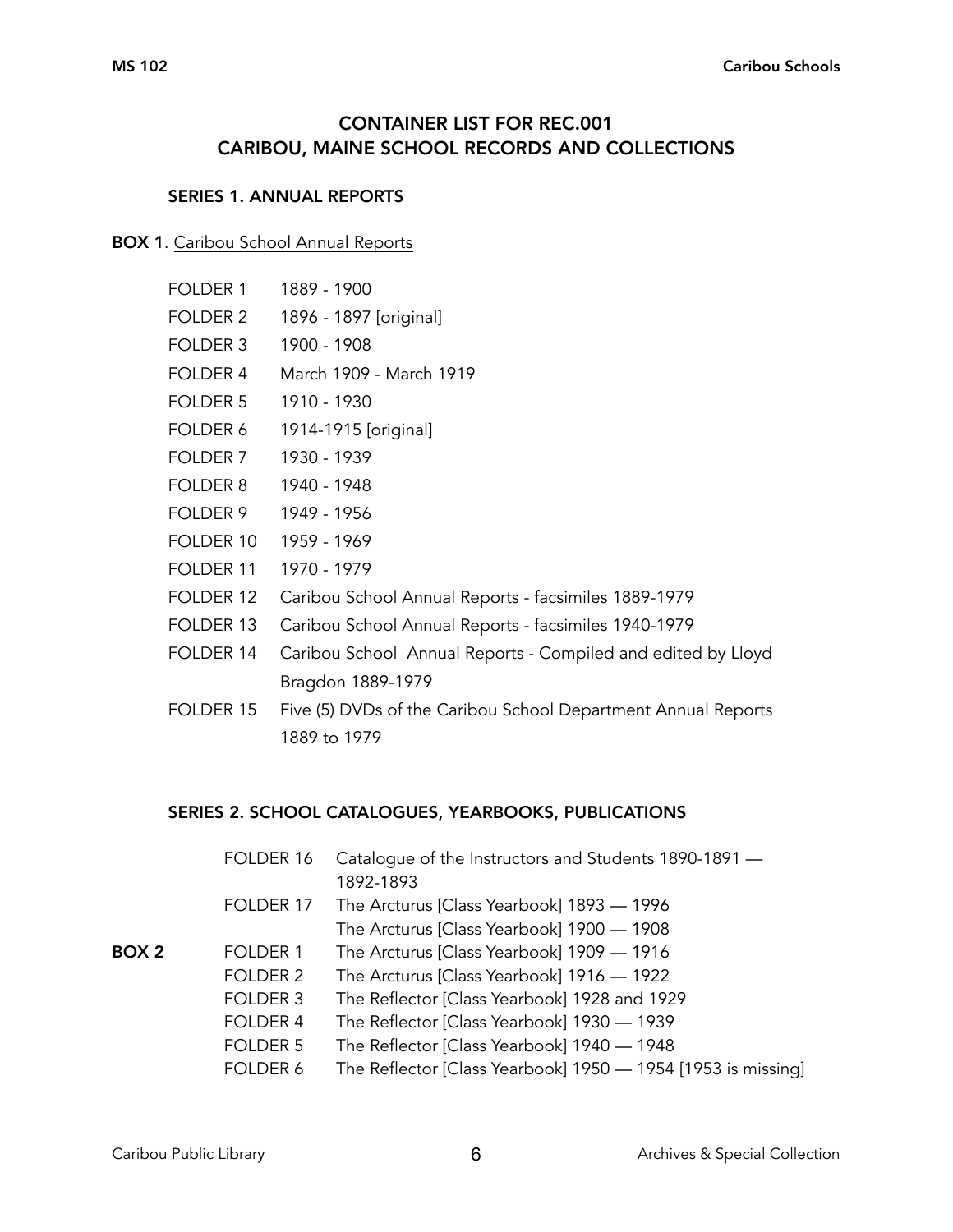# CONTAINER LIST FOR REC.001 CARIBOU, MAINE SCHOOL RECORDS AND COLLECTIONS

#### SERIES 1. ANNUAL REPORTS

#### BOX 1. Caribou School Annual Reports

- FOLDER 1 1889 1900
- FOLDER 2 1896 1897 [original]
- FOLDER 3 1900 1908
- FOLDER 4 March 1909 March 1919
- FOLDER 5 1910 1930
- FOLDER 6 1914-1915 [original]
- FOLDER 7 1930 1939
- FOLDER 8 1940 1948
- FOLDER 9 1949 1956
- FOLDER 10 1959 1969
- FOLDER 11 1970 1979
- FOLDER 12 Caribou School Annual Reports facsimiles 1889-1979
- FOLDER 13 Caribou School Annual Reports facsimiles 1940-1979
- FOLDER 14 Caribou School Annual Reports Compiled and edited by Lloyd Bragdon 1889-1979
- FOLDER 15 Five (5) DVDs of the Caribou School Department Annual Reports 1889 to 1979

#### SERIES 2. SCHOOL CATALOGUES, YEARBOOKS, PUBLICATIONS

| FOLDER 16           | Catalogue of the Instructors and Students 1890-1891 -        |
|---------------------|--------------------------------------------------------------|
|                     | 1892-1893                                                    |
| FOLDER 17           | The Arcturus [Class Yearbook] 1893 - 1996                    |
|                     | The Arcturus [Class Yearbook] 1900 - 1908                    |
| FOLDER 1            | The Arcturus [Class Yearbook] 1909 - 1916                    |
| FOLDER 2            | The Arcturus [Class Yearbook] 1916 — 1922                    |
| FOLDER 3            | The Reflector [Class Yearbook] 1928 and 1929                 |
| FOLDER 4            | The Reflector [Class Yearbook] 1930 — 1939                   |
| FOLDER <sub>5</sub> | The Reflector [Class Yearbook] 1940 — 1948                   |
| FOLDER 6            | The Reflector [Class Yearbook] 1950 — 1954 [1953 is missing] |
|                     |                                                              |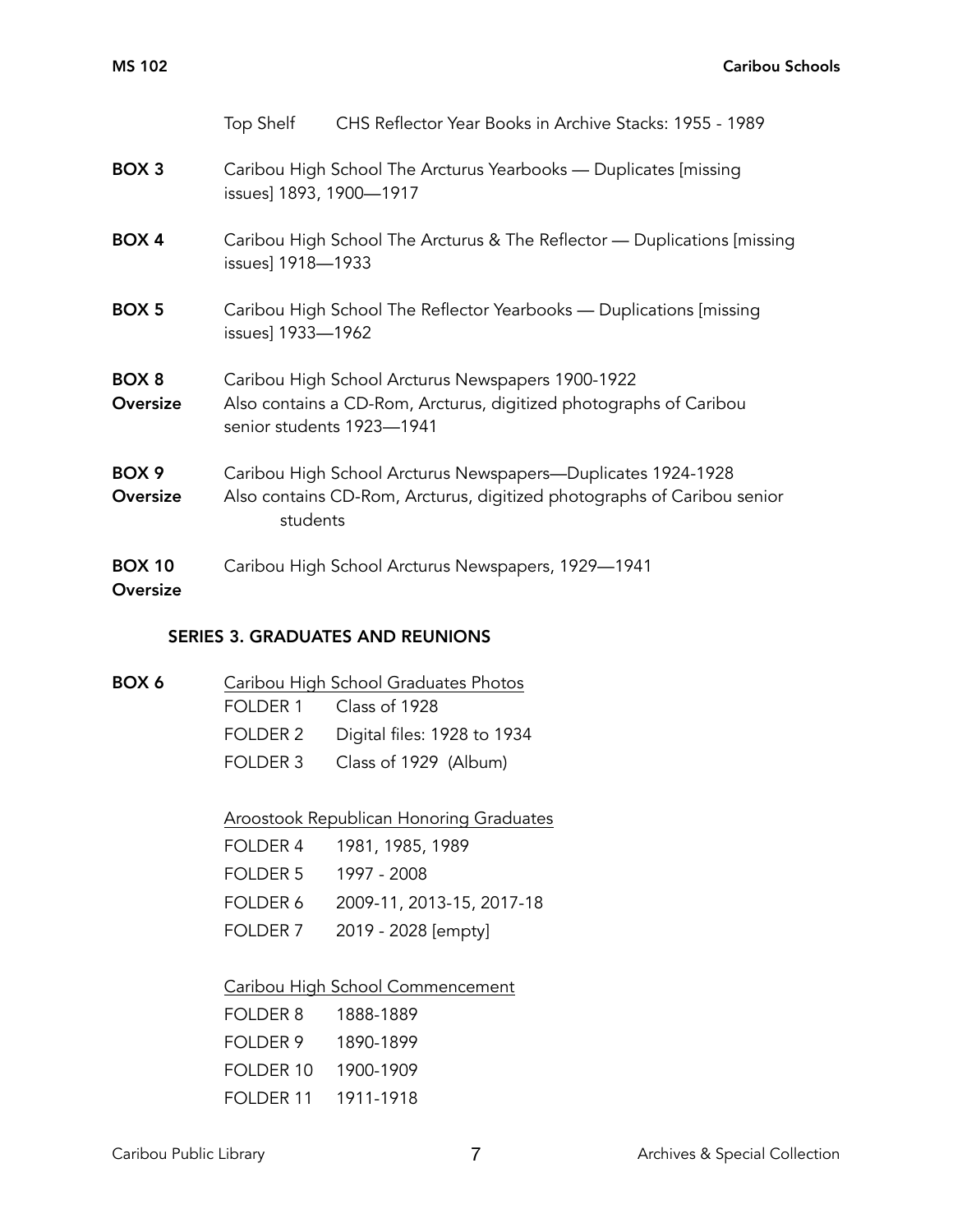|                              | Top Shelf                 | CHS Reflector Year Books in Archive Stacks: 1955 - 1989                                                                                 |
|------------------------------|---------------------------|-----------------------------------------------------------------------------------------------------------------------------------------|
| BOX <sub>3</sub>             | issues] 1893, 1900-1917   | Caribou High School The Arcturus Yearbooks — Duplicates [missing]                                                                       |
| BOX 4                        | issues] 1918-1933         | Caribou High School The Arcturus & The Reflector — Duplications [missing]                                                               |
| <b>BOX 5</b>                 | issues] 1933-1962         | Caribou High School The Reflector Yearbooks — Duplications [missing]                                                                    |
| BOX <sub>8</sub><br>Oversize | senior students 1923-1941 | Caribou High School Arcturus Newspapers 1900-1922<br>Also contains a CD-Rom, Arcturus, digitized photographs of Caribou                 |
| BOX <sub>9</sub><br>Oversize | students                  | Caribou High School Arcturus Newspapers-Duplicates 1924-1928<br>Also contains CD-Rom, Arcturus, digitized photographs of Caribou senior |
| <b>BOX 10</b><br>Oversize    |                           | Caribou High School Arcturus Newspapers, 1929-1941                                                                                      |

## SERIES 3. GRADUATES AND REUNIONS

| BOX 6 | Caribou High School Graduates Photos |                             |
|-------|--------------------------------------|-----------------------------|
|       |                                      | FOLDER 1 Class of 1928      |
|       | FOLDER 2                             | Digital files: 1928 to 1934 |
|       | FOI DFR 3                            | Class of 1929 (Album)       |

Aroostook Republican Honoring Graduates

|  | FOLDER 4 1981, 1985, 1989          |
|--|------------------------------------|
|  | FOLDER 5 1997 - 2008               |
|  | FOLDER 6 2009-11, 2013-15, 2017-18 |
|  | FOLDER 7 2019 - 2028 [empty]       |
|  |                                    |

## Caribou High School Commencement

| FOI DER 8            | 1888-1889 |
|----------------------|-----------|
| FOI DFR 9            | 1890-1899 |
| FOLDER 10            | 1900-1909 |
| FOI DFR 11 1911-1918 |           |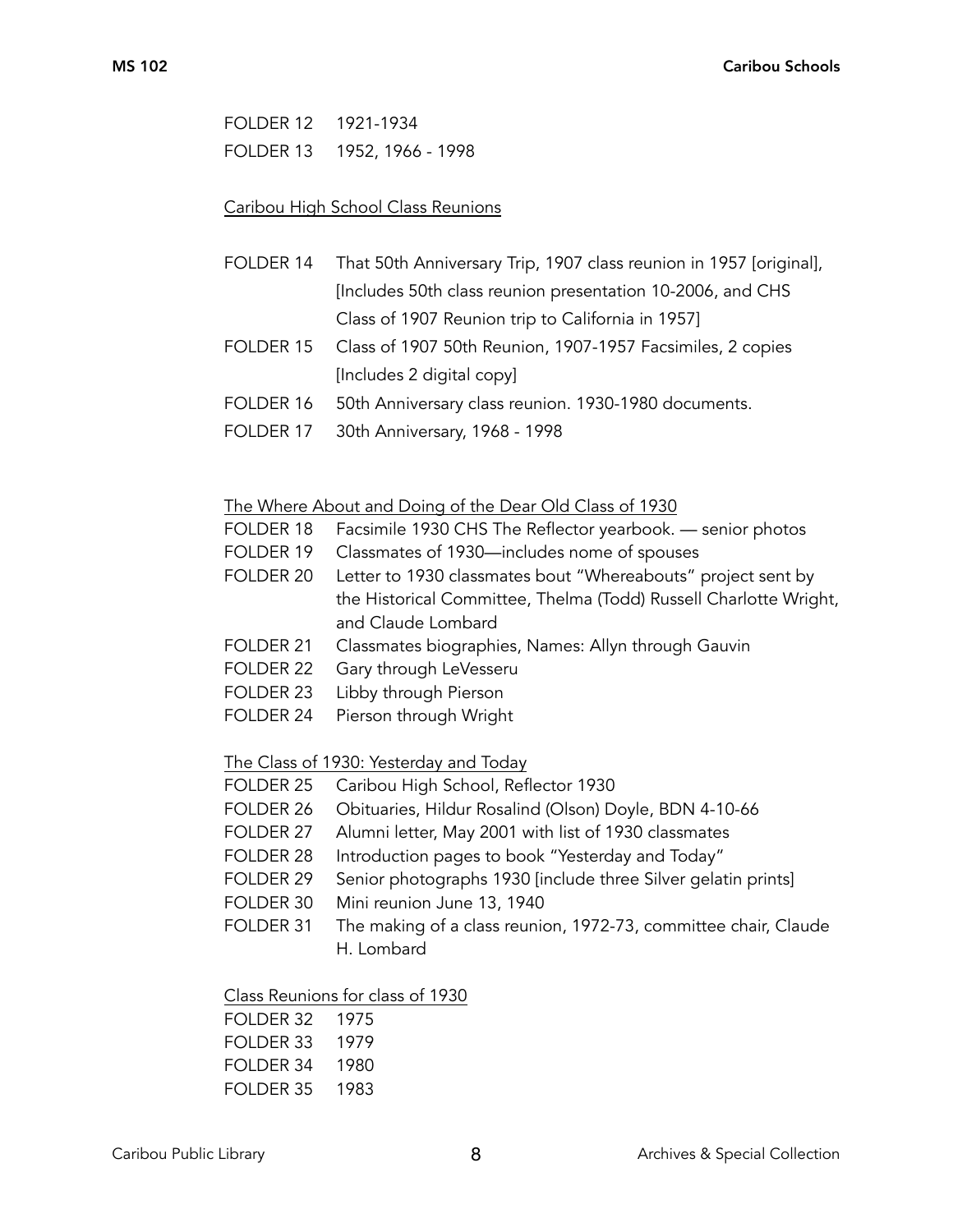FOLDER 12 1921-1934 FOLDER 13 1952, 1966 - 1998

#### Caribou High School Class Reunions

- FOLDER 14 That 50th Anniversary Trip, 1907 class reunion in 1957 [original], [Includes 50th class reunion presentation 10-2006, and CHS Class of 1907 Reunion trip to California in 1957]
- FOLDER 15 Class of 1907 50th Reunion, 1907-1957 Facsimiles, 2 copies [Includes 2 digital copy]
- FOLDER 16 50th Anniversary class reunion. 1930-1980 documents.
- FOLDER 17 30th Anniversary, 1968 1998

#### The Where About and Doing of the Dear Old Class of 1930

- FOLDER 18 Facsimile 1930 CHS The Reflector yearbook. senior photos
- FOLDER 19 Classmates of 1930—includes nome of spouses
- FOLDER 20 Letter to 1930 classmates bout "Whereabouts" project sent by the Historical Committee, Thelma (Todd) Russell Charlotte Wright, and Claude Lombard
- FOLDER 21 Classmates biographies, Names: Allyn through Gauvin
- FOLDER 22 Gary through LeVesseru
- FOLDER 23 Libby through Pierson
- FOLDER 24 Pierson through Wright

The Class of 1930: Yesterday and Today

- FOLDER 25 Caribou High School, Reflector 1930
- FOLDER 26 Obituaries, Hildur Rosalind (Olson) Doyle, BDN 4-10-66
- FOLDER 27 Alumni letter, May 2001 with list of 1930 classmates
- FOLDER 28 Introduction pages to book "Yesterday and Today"
- FOLDER 29 Senior photographs 1930 [include three Silver gelatin prints]
- FOLDER 30 Mini reunion June 13, 1940
- FOLDER 31 The making of a class reunion, 1972-73, committee chair, Claude H. Lombard

Class Reunions for class of 1930

| FOI DER 32 | - 1975 |
|------------|--------|
| FOI DER 33 | 1979   |
| FOI DER 34 | 1980   |
| FOI DER 35 | 1983   |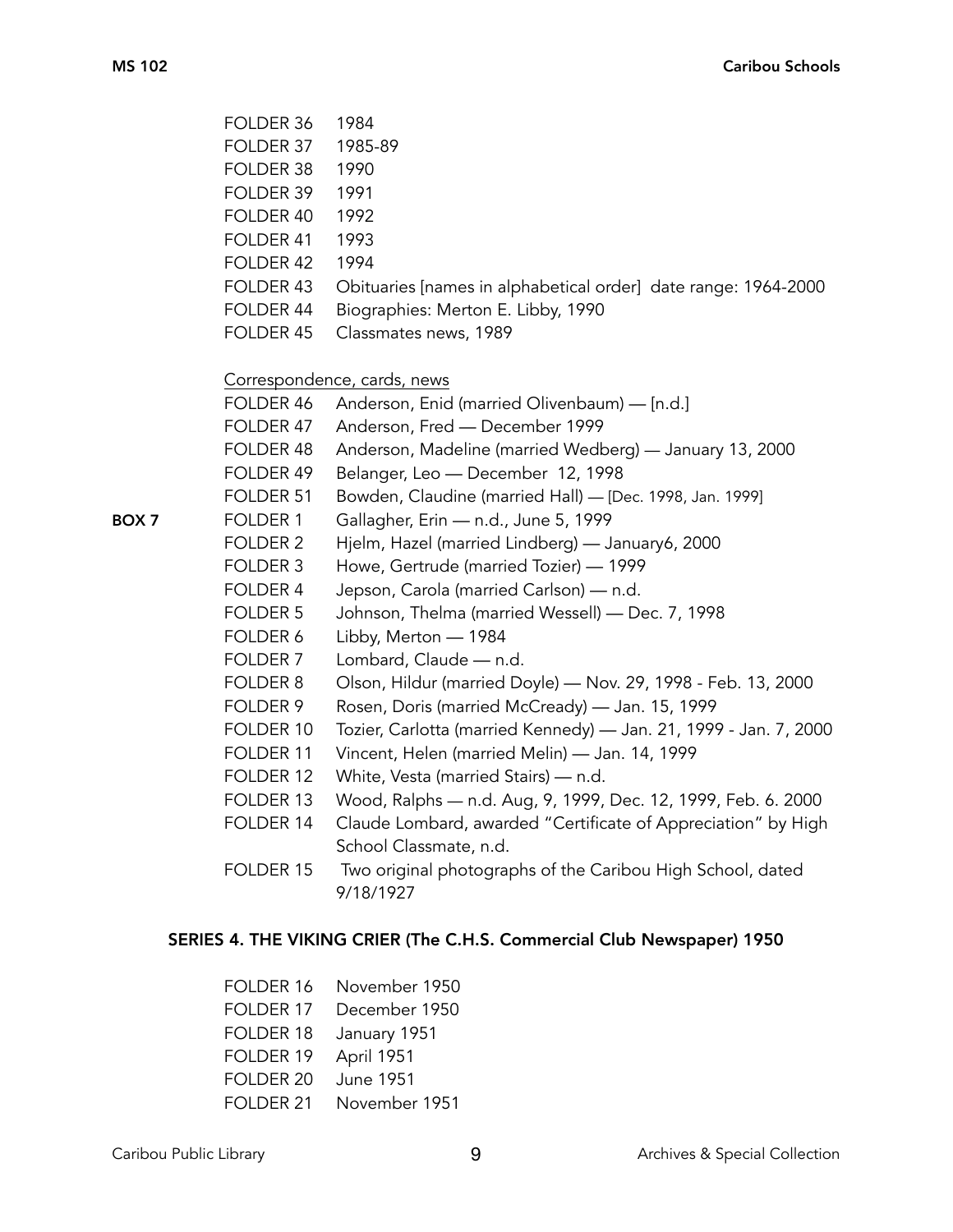|       | FOLDER 36           | 1984                                                                                    |
|-------|---------------------|-----------------------------------------------------------------------------------------|
|       | FOLDER 37           | 1985-89                                                                                 |
|       | FOLDER 38           | 1990                                                                                    |
|       | FOLDER 39           | 1991                                                                                    |
|       | FOLDER 40           | 1992                                                                                    |
|       | FOLDER 41           | 1993                                                                                    |
|       | FOLDER 42           | 1994                                                                                    |
|       | FOLDER 43           | Obituaries [names in alphabetical order] date range: 1964-2000                          |
|       | FOLDER 44           | Biographies: Merton E. Libby, 1990                                                      |
|       | FOLDER 45           | Classmates news, 1989                                                                   |
|       |                     | Correspondence, cards, news                                                             |
|       | FOLDER 46           | Anderson, Enid (married Olivenbaum) — [n.d.]                                            |
|       | FOLDER 47           | Anderson, Fred - December 1999                                                          |
|       | FOLDER 48           | Anderson, Madeline (married Wedberg) — January 13, 2000                                 |
|       | FOLDER 49           | Belanger, Leo - December 12, 1998                                                       |
|       | FOLDER 51           | Bowden, Claudine (married Hall) - [Dec. 1998, Jan. 1999]                                |
| BOX 7 | FOLDER 1            | Gallagher, Erin - n.d., June 5, 1999                                                    |
|       | FOLDER 2            | Hjelm, Hazel (married Lindberg) — January6, 2000                                        |
|       | FOLDER 3            | Howe, Gertrude (married Tozier) - 1999                                                  |
|       | FOLDER 4            | Jepson, Carola (married Carlson) - n.d.                                                 |
|       | FOLDER 5            | Johnson, Thelma (married Wessell) — Dec. 7, 1998                                        |
|       | FOLDER 6            | Libby, Merton - 1984                                                                    |
|       | FOLDER <sub>7</sub> | Lombard, Claude - n.d.                                                                  |
|       | FOLDER 8            | Olson, Hildur (married Doyle) - Nov. 29, 1998 - Feb. 13, 2000                           |
|       | FOLDER 9            | Rosen, Doris (married McCready) - Jan. 15, 1999                                         |
|       | FOLDER 10           | Tozier, Carlotta (married Kennedy) - Jan. 21, 1999 - Jan. 7, 2000                       |
|       | FOLDER 11           | Vincent, Helen (married Melin) - Jan. 14, 1999                                          |
|       | FOLDER 12           | White, Vesta (married Stairs) - n.d.                                                    |
|       | FOLDER 13           | Wood, Ralphs - n.d. Aug, 9, 1999, Dec. 12, 1999, Feb. 6. 2000                           |
|       | FOLDER 14           | Claude Lombard, awarded "Certificate of Appreciation" by High<br>School Classmate, n.d. |
|       | FOLDER 15           | Two original photographs of the Caribou High School, dated<br>9/18/1927                 |
|       |                     |                                                                                         |

# SERIES 4. THE VIKING CRIER (The C.H.S. Commercial Club Newspaper) 1950

| FOLDER 16  | November 1950    |
|------------|------------------|
| FOI DFR 17 | December 1950    |
| FOLDER 18  | January 1951     |
| FOLDER 19  | April 1951       |
| FOLDER 20  | <b>June 1951</b> |
| FOI DFR 21 | November 1951    |